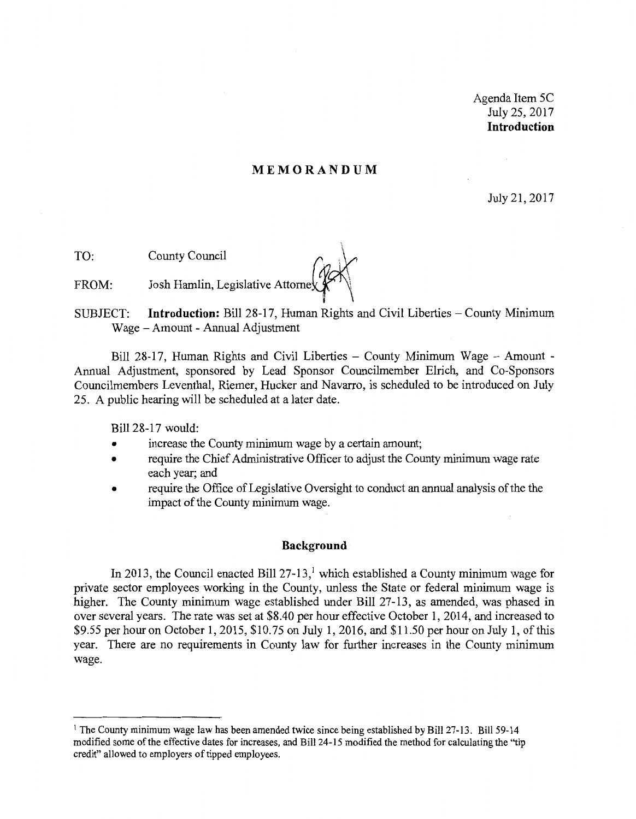Agenda Item 5C July 25, 2017 **Introduction** 

# **MEMORANDUM**

July 21, 2017

TO: County Council  $\binom{2}{2}$ 

FROM: Josh Hamlin, Legislative Attorne

SUBJECT: **Introduction:** Bill 28-17, Human Rights and Civil Liberties - County Minimum Wage -Amount - Annual Adjustment

Bill 28-17, Human Rights and Civil Liberties - County Minimum Wage - Amount -Annual Adjustment, sponsored by Lead Sponsor Councilmember Eirich, and Co-Sponsors Councilmembers Leventhal, Riemer, Hucker and Navarro, is scheduled to be introduced on July 25. A public hearing will be scheduled at a later date.

Bill 28-17 would:

- increase the County minimum wage by a certain amount;
- require the Chief Administrative Officer to adjust the County minimum wage rate each year; and
- require the Office of Legislative Oversight to conduct an annual analysis of the the impact of the County minimum wage.

### **Background**

In 2013, the Council enacted Bill  $27-13$ ,<sup>1</sup> which established a County minimum wage for private sector employees working in the County, unless the State or federal minimum wage is higher. The County minimum wage established under Bill 27-13, as amended, was phased in over several years. The rate was set at \$8.40 per hour effective October 1, 2014, and increased to \$9.55 per hour on October 1, 2015, \$10.75 on July 1, 2016, and \$11.50 per hour on July 1, of this year. There are no requirements in County law for further increases in the County minimum wage.

<sup>&</sup>lt;sup>1</sup> The County minimum wage law has been amended twice since being established by Bill 27-13. Bill 59-14 modified some of the effective dates for increases, and Bill 24-15 modified the method for calculating the ''tip credit" allowed to employers of tipped employees.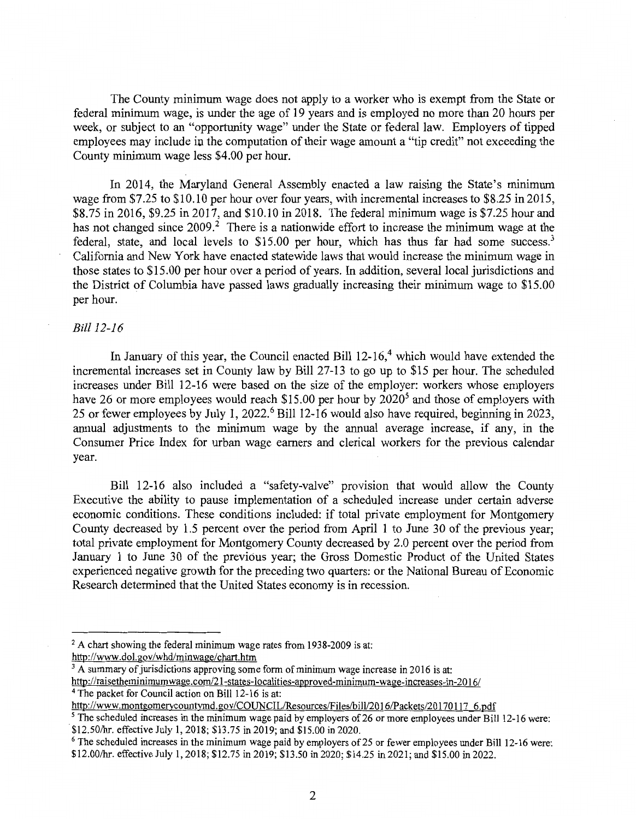The County minimum wage does not apply to a worker who is exempt from the State or federal minimum wage, is under the age of 19 years and is employed no more than 20 hours per week, or subject to an "opportunity wage" under the State or federal law. Employers of tipped employees may include in the computation of their wage amount a "tip credit" not exceeding the County minimum wage less \$4.00 per hour.

In 2014, the Maryland General Assembly enacted a law raising the State's minimum wage from \$7.25 to \$10.10 per hour over four years, with incremental increases to \$8.25 in 2015, \$8.75 in 2016, \$9.25 in 2017, and \$10.10 in 2018. The federal minimum wage is \$7.25 hour and has not changed since  $2009<sup>2</sup>$ . There is a nationwide effort to increase the minimum wage at the federal, state, and local levels to \$15.00 per hour, which has thus far had some success.<sup>3</sup> California and New York have enacted statewide laws that would increase the minimum wage in those states to \$15.00 per hour over a period of years. In addition, several local jurisdictions and the District of Columbia have passed laws gradually increasing their minimum wage to \$15.00 per hour.

# *Bill 12-16*

In January of this year, the Council enacted Bill  $12-16$ ,<sup>4</sup> which would have extended the incremental increases set in County law by Bill 27-13 to go up to \$15 per hour. The scheduled increases under Bill 12-16 were based on the size of the employer: workers whose employers have 26 or more employees would reach \$15.00 per hour by  $2020^5$  and those of employers with 25 or fewer employees by July 1, 2022. 6 Bill 12-16 would also have required, beginning in 2023, annual adjustments to the minimum wage by the annual average increase, if any, in the Consumer Price Index for urban wage earners and clerical workers for the previous calendar year.

Bill 12-16 also included a "safety-valve" provision that would allow the County Executive the ability to pause implementation of a scheduled increase under certain adverse economic conditions. These conditions included: if total private employment for Montgomery County decreased by 1.5 percent over the period from April 1 to June 30 of the previous year; total private employment for Montgomery County decreased by 2.0 percent over the period from January 1 to June 30 of the previous year; the Gross Domestic Product of the United States experienced negative growth for the preceding two quarters: or the National Bureau of Economic Research determined that the United States economy is in recession.

 $2 A$  chart showing the federal minimum wage rates from 1938-2009 is at: <http://www.dol.gov/whd/minwage/chart.htm>

<sup>&</sup>lt;sup>3</sup> A summary of jurisdictions approving some form of minimum wage increase in 2016 is at:

[http:/ /raisetheminimumwage.com/21-states-localities-approved-minimum-wage-increases-in-2016/](http://raisetheminimumwage.com/21-states-localities-approved-minimum-wage-increases-in-2016/)

<sup>4</sup>The packet for Council action on Bill 12-16 is at:

[http://www.montgomerycountymd.gov/COUNCIL/Resources/Files/bill/2016/Packets/20170117 6.pdf](http://www.montgomerycountymd.gov/COUNCIL/Resources/Files/bill/2016/Packets/20170117_6.pdf)

<sup>&</sup>lt;sup>5</sup> The scheduled increases in the minimum wage paid by employers of 26 or more employees under Bill 12-16 were: · \$12.50/hr. effective July 1, 2018; \$13.75 in 2019; and \$15.00 in 2020.

<sup>&</sup>lt;sup>6</sup> The scheduled increases in the minimum wage paid by employers of 25 or fewer employees under Bill 12-16 were: \$12.00/hr. effective July 1, 2018; \$12.75 in 2019; \$13.50 in 2020; \$14.25 in 2021; and \$15.00 in 2022.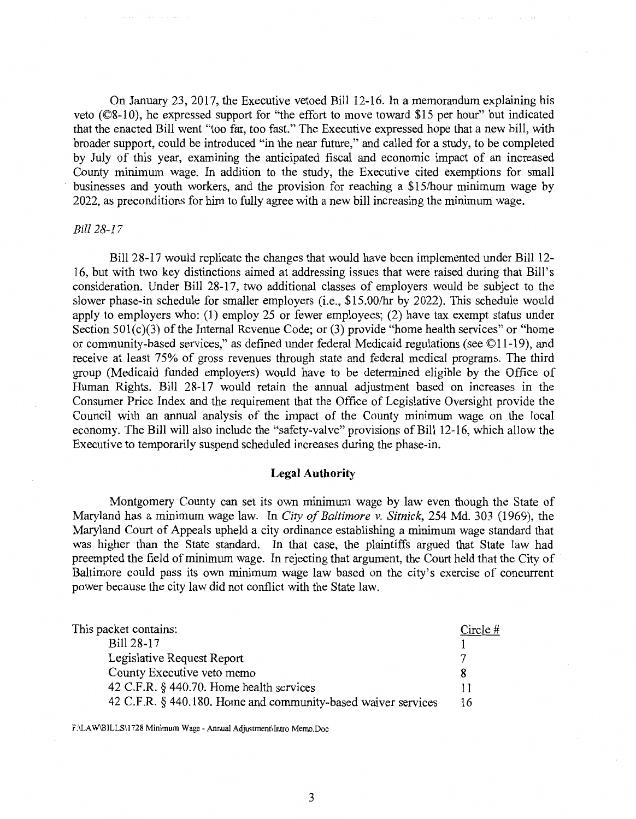On January 23, 2017, the Executive vetoed Bill 12-16. In a memorandum explaining his veto (©8-10), he expressed support for "the effort to move toward \$15 per hour" but indicated that the enacted Bill went "too far, too fast." The Executive expressed hope that a new bill, with broader support, could be introduced "in the near future," and called for a study, to be completed by July of this year, examining the anticipated fiscal and economic impact of an increased County minimum wage. In addition to the study, the Executive cited exemptions for small businesses and youth workers, and the provision for reaching a \$15/hour minimum wage by 2022, as preconditions for him to fully agree with a new bill increasing the minimum wage.

# *Bill 28-17*

Bill 28-17 would replicate the changes that would have been implemented under Bill 12- 16, but with two key distinctions aimed at addressing issues that were raised during that Bill's consideration. Under Bill 28-17, two additional classes of employers would be subject to the slower phase-in schedule for smaller employers (i.e., \$15.00/hr by 2022). This schedule would apply to employers who: (1) employ 25 or fewer employees; (2) have tax exempt status under Section 501(c)(3) of the Internal Revenue Code; or (3) provide "home health services" or "home or community-based services," as defined under federal Medicaid regulations (see ©11-19), and receive at least 75% of gross revenues through state and federal medical programs. The third group (Medicaid funded employers) would have to be determined eligible by the Office of Human Rights. Bill 28-17 would retain the annual adjustment based on increases in the Consumer Price Index and the requirement that the Office of Legislative Oversight provide the Council with an annual analysis of the impact of the County minimum wage on the local economy. The Bill will also include the "safety-valve" provisions of Bill 12-16, which allow the Executive to temporarily suspend scheduled increases during the phase-in.

# **Legal Authority**

Montgomery County can set its own minimum wage by law even though the State of Maryland has a minimum wage law. In *City of Baltimore v. Sitnick,* 254 Md. 303 (1969), the Maryland Court of Appeals upheld a city ordinance establishing a minimum wage standard that was higher than the State standard. In that case, the plaintiffs argued that State law had preempted the field of minimum wage. In rejecting that argument, the Court held that the City of Baltimore could pass its own minimum wage law based on the city's exercise of concurrent power because the city law did not conflict with the State law.

| This packet contains:                                         | Circle $#$ |
|---------------------------------------------------------------|------------|
| Bill 28-17                                                    |            |
| Legislative Request Report                                    |            |
| County Executive veto memo                                    |            |
| 42 C.F.R. $\S$ 440.70. Home health services                   |            |
| 42 C.F.R. § 440.180. Home and community-based waiver services | 16         |

F:\LA W\BILLS\1728 Minimum Wage -Annual Adjustment\lntro Memo.Doc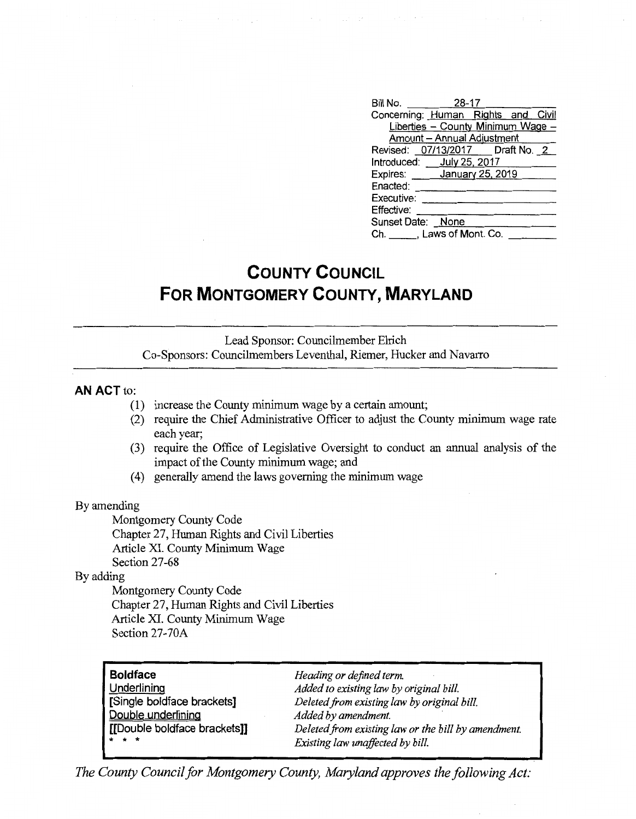| Bill No. 28-17                     |                                   |  |  |
|------------------------------------|-----------------------------------|--|--|
| Concerning: Human Rights and Civil |                                   |  |  |
|                                    | Liberties - County Minimum Wage - |  |  |
|                                    | Amount - Annual Adjustment        |  |  |
| Revised: 07/13/2017   Draft No. 2  |                                   |  |  |
| Introduced: July 25, 2017          |                                   |  |  |
| Expires: January 25, 2019          |                                   |  |  |
| Enacted:                           |                                   |  |  |
| Executive:                         |                                   |  |  |
| Effective:                         |                                   |  |  |
| Sunset Date: None                  |                                   |  |  |
| Ch. Laws of Mont. Co.              |                                   |  |  |
|                                    |                                   |  |  |

# **COUNTY COUNCIL FOR MONTGOMERY COUNTY, MARYLAND**

Lead Sponsor: Councilmember Elrich Co-Sponsors: Councilmembers Leventhal, Riemer, Rucker and Navarro

# **AN ACT** to:

- (1) increase the County minimum wage by a certain amount;
- (2) require the Chief Administrative Officer to adjust the County minimum wage rate each year;
- (3) require the Office of Legislative Oversight to conduct an annual analysis of the impact of the County minimum wage; and
- ( 4) generally amend the laws governing the minimum wage

### By amending

Montgomery County Code Chapter 27, Human Rights and Civil Liberties Article XI. County Minimum Wage Section 27-68

By adding

Montgomery County Code Chapter 27, Human Rights and Civil Liberties Article XI. County Minimum Wage Section 27-70A

| <b>Boldface</b><br><b>Underlining</b><br>Single boldface brackets<br>Double underlining<br>[[Double boldface brackets]]<br>$\rightarrow$ $\rightarrow$ $\rightarrow$ | Heading or defined term.<br>Added to existing law by original bill.<br>Deleted from existing law by original bill.<br>Added by amendment.<br>Deleted from existing law or the bill by amendment. |
|----------------------------------------------------------------------------------------------------------------------------------------------------------------------|--------------------------------------------------------------------------------------------------------------------------------------------------------------------------------------------------|
|                                                                                                                                                                      | Existing law unaffected by bill.                                                                                                                                                                 |

*The County Council for Montgomery County, Maryland approves the following Act:*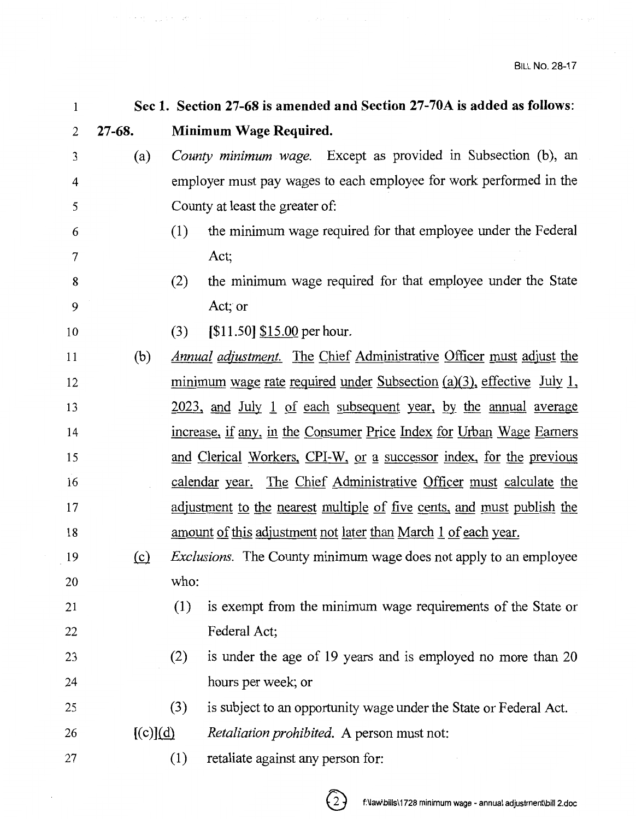| $\mathbf{1}$   |                        | Sec 1. Section 27-68 is amended and Section 27-70A is added as follows:      |
|----------------|------------------------|------------------------------------------------------------------------------|
| $\mathbf{2}$   | $27 - 68.$             | Minimum Wage Required.                                                       |
| $\mathfrak{Z}$ | (a)                    | County minimum wage. Except as provided in Subsection (b), an                |
| 4              |                        | employer must pay wages to each employee for work performed in the           |
| 5              |                        | County at least the greater of:                                              |
| 6              |                        | the minimum wage required for that employee under the Federal<br>(1)         |
| 7              |                        | Act;                                                                         |
| 8              |                        | the minimum wage required for that employee under the State<br>(2)           |
| 9              |                        | Act; or                                                                      |
| 10             |                        | $[$11.50]$ \$15.00 per hour.<br>(3)                                          |
| 11             | (b)                    | Annual adjustment. The Chief Administrative Officer must adjust the          |
| 12             |                        | <u>minimum wage rate required under Subsection (a)(3), effective July 1,</u> |
| 13             |                        | 2023, and July 1 of each subsequent year, by the annual average              |
| 14             |                        | increase, if any, in the Consumer Price Index for Urban Wage Earners         |
| 15             |                        | and Clerical Workers, CPI-W, or a successor index, for the previous          |
| 16             |                        | calendar year. The Chief Administrative Officer must calculate the           |
| 17             |                        | adjustment to the nearest multiple of five cents, and must publish the       |
| 18             |                        | <u>amount of this adjustment not later than March 1 of each year.</u>        |
| 19             | $\Omega$               | <i>Exclusions.</i> The County minimum wage does not apply to an employee     |
| 20             |                        | who:                                                                         |
| 21             |                        | is exempt from the minimum wage requirements of the State or<br>(1)          |
| 22             |                        | Federal Act;                                                                 |
| 23             |                        | is under the age of 19 years and is employed no more than 20<br>(2)          |
| 24             |                        | hours per week; or                                                           |
| 25             |                        | is subject to an opportunity wage under the State or Federal Act.<br>(3)     |
| 26             | $[(c)](\underline{d})$ | <i>Retaliation prohibited.</i> A person must not:                            |
| 27             |                        | retaliate against any person for:<br>(1)                                     |

where the properties of the second contract the properties of the second contract  $\mathcal{C}$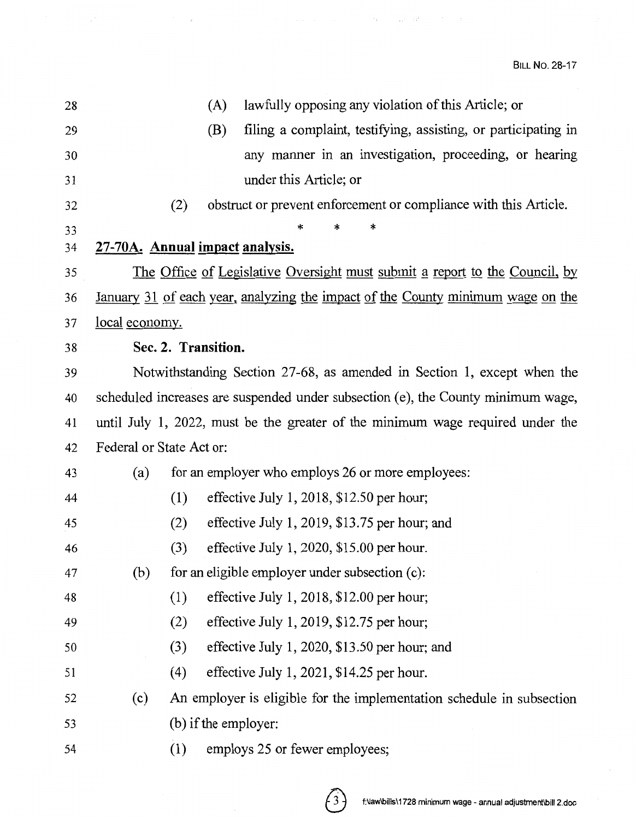| 28 |                          | (A)                 | lawfully opposing any violation of this Article; or                                    |
|----|--------------------------|---------------------|----------------------------------------------------------------------------------------|
| 29 |                          | (B)                 | filing a complaint, testifying, assisting, or participating in                         |
| 30 |                          |                     | any manner in an investigation, proceeding, or hearing                                 |
| 31 |                          |                     | under this Article; or                                                                 |
| 32 |                          | (2)                 | obstruct or prevent enforcement or compliance with this Article.                       |
| 33 |                          |                     | *<br>*                                                                                 |
| 34 |                          |                     | 27-70A. Annual impact analysis.                                                        |
| 35 |                          |                     | <u>The Office of Legislative Oversight must submit a report to the Council, by</u>     |
| 36 |                          |                     | <u>January 31 of each year, analyzing the impact of the County minimum wage on the</u> |
| 37 | <u>local</u> economy.    |                     |                                                                                        |
| 38 |                          | Sec. 2. Transition. |                                                                                        |
| 39 |                          |                     | Notwithstanding Section 27-68, as amended in Section 1, except when the                |
| 40 |                          |                     | scheduled increases are suspended under subsection (e), the County minimum wage,       |
| 41 |                          |                     | until July 1, 2022, must be the greater of the minimum wage required under the         |
| 42 | Federal or State Act or: |                     |                                                                                        |
| 43 | (a)                      |                     | for an employer who employs 26 or more employees:                                      |
| 44 |                          | (1)                 | effective July 1, 2018, $$12.50$ per hour;                                             |
| 45 |                          | (2)                 | effective July 1, 2019, \$13.75 per hour; and                                          |
| 46 |                          | (3)                 | effective July 1, 2020, \$15.00 per hour.                                              |
| 47 | (b)                      |                     | for an eligible employer under subsection (c):                                         |
| 48 |                          | (1)                 | effective July 1, 2018, \$12.00 per hour;                                              |
| 49 |                          | (2)                 | effective July 1, 2019, $$12.75$ per hour;                                             |
| 50 |                          | (3)                 | effective July 1, 2020, \$13.50 per hour; and                                          |
| 51 |                          | (4)                 | effective July 1, 2021, \$14.25 per hour.                                              |
| 52 | (c)                      |                     | An employer is eligible for the implementation schedule in subsection                  |
| 53 |                          |                     | (b) if the employer:                                                                   |
| 54 |                          | (1)                 | employs 25 or fewer employees;                                                         |

 $\mathcal{L}^{\mathcal{L}}(\mathcal{L}^{\mathcal{L}})$  . The contribution of the contribution of the contribution of the contribution of the contribution of the contribution of the contribution of the contribution of the contribution of the contr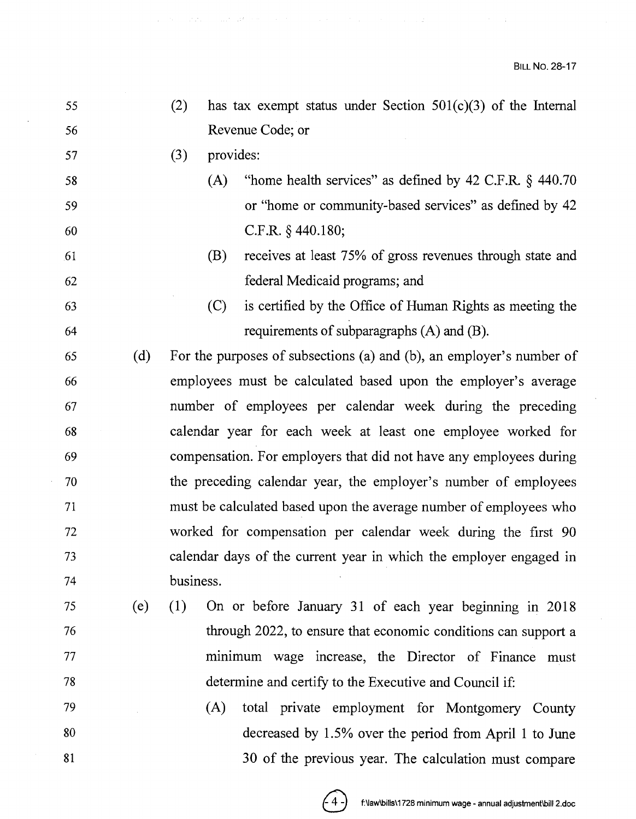55 56 57 58 59 60 (2) has tax exempt status under Section  $501(c)(3)$  of the Internal Revenue Code; or (3) provides: (A) "home health services" as defined by 42 C.F.R. § 440.70 or "home or community-based services" as defined by 42 C.F.R. § 440.180; 61 (B) receives at least 75% of gross revenues through state and 62 federal Medicaid programs; and 63 (C) is certified by the Office of Human Rights as meeting the 64 requirements of subparagraphs (A) and (B). 65 (d) For the purposes of subsections (a) and (b), an employer's number of 66 67 68 69 70 71 72 73 74 employees must be calculated based upon the employer's average number of employees per calendar week during the preceding calendar year for each week at least one employee worked for compensation. For employers that did not have any employees during the preceding calendar year, the employer's number of employees must be calculated based upon the average number of employees who worked for compensation per calendar week during the first 90 calendar days of the current year in which the employer engaged in business. 75 (e) (1) On or before January 31 of each year beginning in 2018 76 77 78 through 2022, to ensure that economic conditions can support a minimum wage increase, the Director of Finance must determine and certify to the Executive and Council if:

support the second control of the control of the control of the control of

**CALCULATION** 

79 80 81 (A) total private employment for Montgomery County decreased by 1.5% over the period from April 1 to June 30 of the previous year. The calculation must compare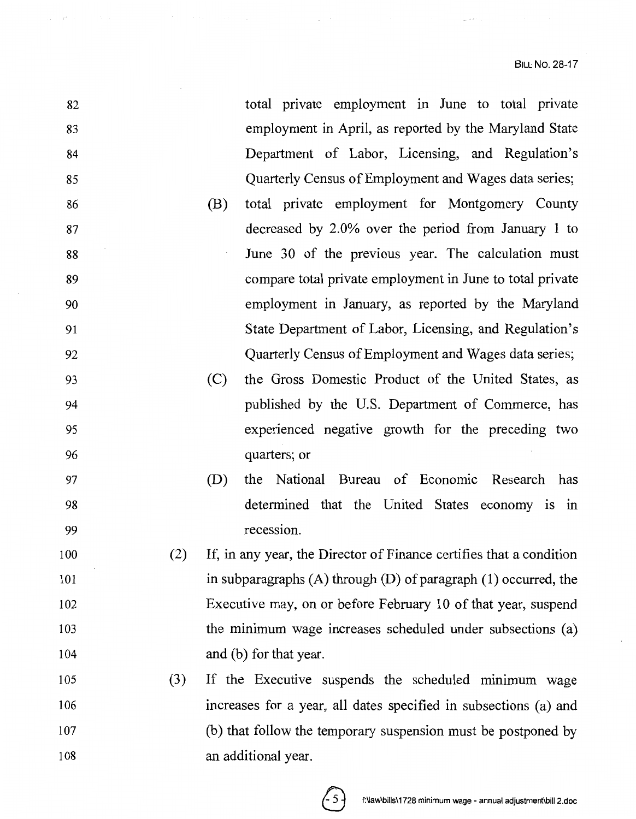$\label{eq:1.1} \lim_{\varepsilon\to 0}\frac{\mu(\mathcal{D}^{\varepsilon})}{\varepsilon} \leq \varepsilon^{\frac{1}{2}}\left(\frac{\varepsilon}{\varepsilon} \right)^{\frac{1}{2}}\left(\frac{\varepsilon}{\varepsilon} \right)^{\frac{1}{2}}\left(\frac{\varepsilon}{\varepsilon} \right)^{\frac{1}{2}}\left(\frac{\varepsilon}{\varepsilon} \right)^{\frac{1}{2}}\left(\frac{\varepsilon}{\varepsilon} \right)^{\frac{1}{2}}\left(\frac{\varepsilon}{\varepsilon} \right)^{\frac{1}{2}}\left(\frac{\varepsilon}{\varepsilon} \right)^{\frac$ 

| 82  |     |     | total private employment in June to total private                     |
|-----|-----|-----|-----------------------------------------------------------------------|
| 83  |     |     | employment in April, as reported by the Maryland State                |
| 84  |     |     | Department of Labor, Licensing, and Regulation's                      |
| 85  |     |     | Quarterly Census of Employment and Wages data series;                 |
| 86  |     | (B) | total private employment for Montgomery County                        |
| 87  |     |     | decreased by 2.0% over the period from January 1 to                   |
| 88  |     |     | June 30 of the previous year. The calculation must                    |
| 89  |     |     | compare total private employment in June to total private             |
| 90  |     |     | employment in January, as reported by the Maryland                    |
| 91  |     |     | State Department of Labor, Licensing, and Regulation's                |
| 92  |     |     | Quarterly Census of Employment and Wages data series;                 |
| 93  |     | (C) | the Gross Domestic Product of the United States, as                   |
| 94  |     |     | published by the U.S. Department of Commerce, has                     |
| 95  |     |     | experienced negative growth for the preceding two                     |
| 96  |     |     | quarters; or                                                          |
| 97  |     | (D) | the National Bureau of Economic Research<br>has                       |
| 98  |     |     | determined that the United States economy is in                       |
| 99  |     |     | recession.                                                            |
| 100 | (2) |     | If, in any year, the Director of Finance certifies that a condition   |
| 101 |     |     | in subparagraphs $(A)$ through $(D)$ of paragraph $(1)$ occurred, the |
| 102 |     |     | Executive may, on or before February 10 of that year, suspend         |
| 103 |     |     | the minimum wage increases scheduled under subsections (a)            |
| 104 |     |     | and (b) for that year.                                                |
| 105 | (3) |     | If the Executive suspends the scheduled minimum wage                  |
| 106 |     |     | increases for a year, all dates specified in subsections (a) and      |
| 107 |     |     | (b) that follow the temporary suspension must be postponed by         |
| 108 |     |     | an additional year.                                                   |

 $\Delta\phi$  and  $\Phi$  is a second contribution of the second contribution of the second contribution of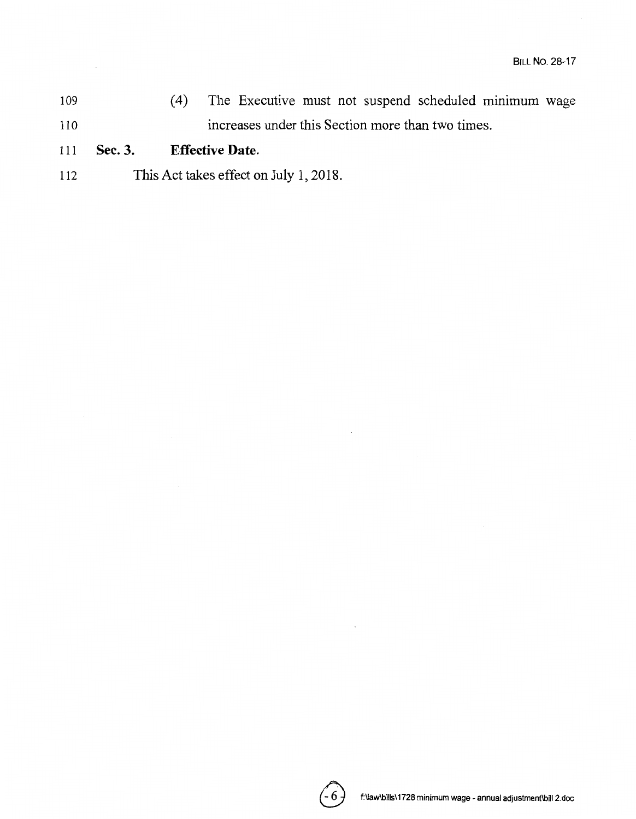109 (4) The Executive must not suspend scheduled minimum wage 110 **increases under this Section more than two times.** 

# 111 **Sec. 3. Effective Date.**

112 This Act takes effect on July 1, 2018.

 $\cdot$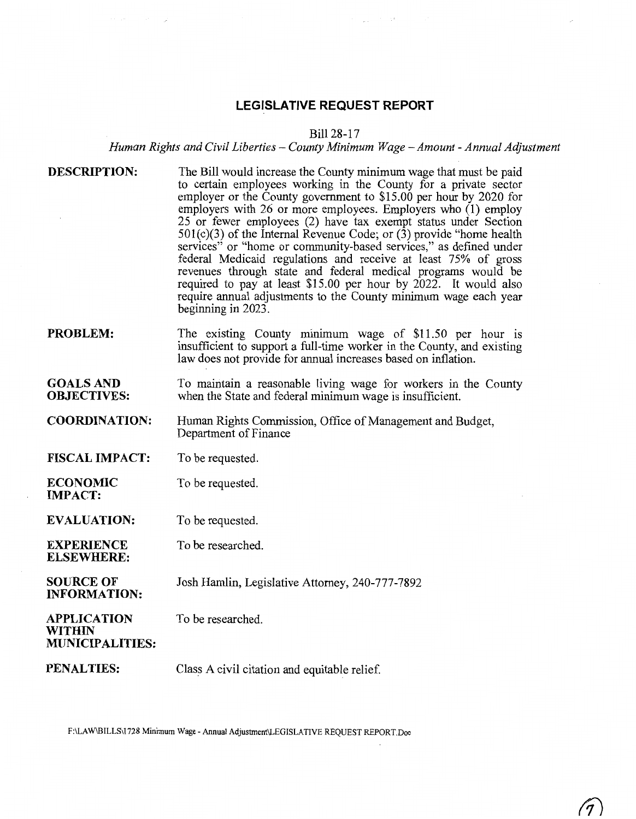# **LEGISLATIVE REQUEST REPORT**

Bill 28-17

*Human Rights and Civil Liberties* - *County Minimum Wage -Amount* - *Annual Adjustment* 

- **DESCRIPTION:**  The Bill would increase the County minimum wage that must be paid to certain employees working in the County for a private sector employer or the County government to \$15.00 per hour by 2020 for employers with 26 or more employees. Employers who **(1)** employ 25 or fewer employees (2) have tax exempt status under Section  $501(c)(3)$  of the Internal Revenue Code; or  $(3)$  provide "home health" services" or "home or community-based services," as defined under federal Medicaid regulations and receive at least 75% of gross revenues through state and federal medical programs would be required to pay at least \$15.00 per hour by 2022. It would also require annual adjustments to the County minimum wage each year beginning in 2023.
- **PROBLEM:**  The existing County minimum wage of \$11.50 per hour is insufficient to support a full-time worker in the County, and existing law does not provide for annual increases based on inflation.
- **GOALSAND OBJECTIVES:**  To maintain a reasonable living wage for workers in the County when the State and federal minimum wage is insufficient.
- **COORDINATION:**  Human Rights Commission, Office of Management and Budget, Department of Finance
- **FISCAL IMPACT:**  To be requested.

**ECONOMIC IMPACT:**  To be requested.

**EVALUATION:**  To be requested.

**EXPERIENCE ELSEWHERE:**  To be researched.

**SOURCE OF INFORMATION:**  Josh Hamlin, Legislative Attorney, 240-777-7892

**APPLICATION**  To be researched.

**WITHIN MUNICIPALITIES:** 

**PENALTIES:**  Class A civil citation and equitable relief.

F:\LA W\BILLS\1728 Minimum Wage - Annual Adjustrnent\LEGISLATIVE REQUEST REPORT.Doc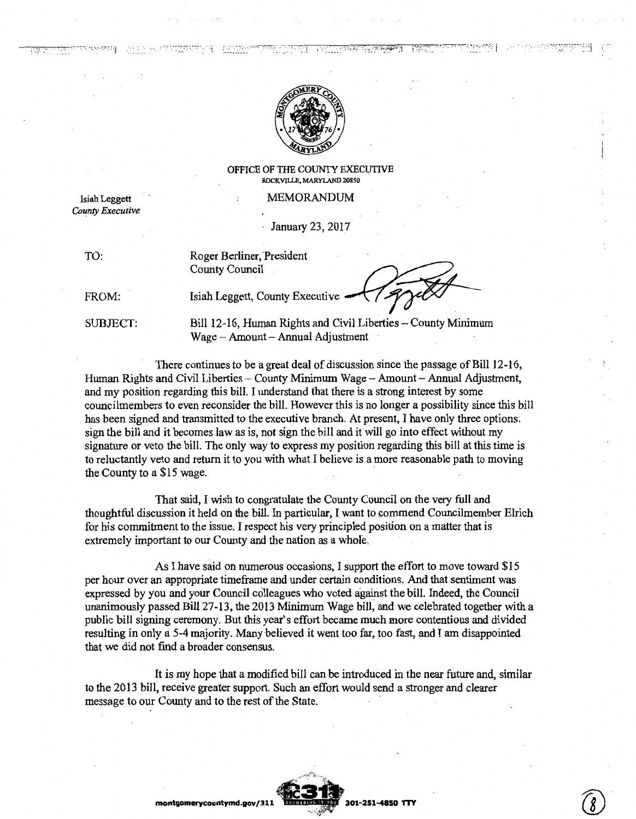

 $\mathbb{C}^{\text{max}}$  is the  $\mathbb{C}^{\text{max}}$ 

#### OFFICE OF THE COUNTY EXECUTIVE ROCKVILLE, MARYLAND 20850

#### MEMORANDUM

Isiah Leggett *County Executive* 

;:.~·-·\_·-: --. -.---· ... \_., ... j

· January 23, 2017

| TO: | Roger Berliner, President |
|-----|---------------------------|
|     | County Council            |

FROM:

Isiah Leggett, County Executive

SUBJECT:

Bill 12-16, Human Rights and Civil Liberties-County Minimum Wage - Amount - Annual Adjustment

There continues to be a great deal of discussion since the passage of Bill 12-16, Human Rights and Civil Liberties - County Minimum Wage - Amount - Annual Adjustment, and my position regarding this bill. I understand that there is a strong interest by some councilmembers to even reconsider the bill. However this is no longer a possibility since this bill has been signed and transmitted to the executive branch. At present, I have only three options: sign the bill and it becomes law as is, not sign the bill and it will go into effect without my signature or veto the bill. The only way to express my position regarding this bill at this time is to reluctantly veto and return it to you with what I believe is a more reasonable path to moving the County to a \$15 wage.

That said, I wish to congratulate the County Council on the very full and thoughtful discussion it held on the bill. In particular, I want to commend Councilmember Eirich for his commitment to the issue. I respect his very principled position on a matter that is extremely important to our County and the nation as a whole.

As I have said on numerous occasions, I support the effort to move toward \$15 per hour over an appropriate timeframe and under certain conditions. And that sentiment was expressed by you and your Council colleagues who voted against the bill. Indeed, the Council unanimously passed Bill 27-13, the 2013 Minimum Wage bill, and we celebrated together with a public bill signing ceremony. But this year's effort became much more contentious and divided resulting in only a 5-4 majority. Many believed it went too far, too fast, and I am disappointed that we did not find a broader consensus.

It is my hope that a modified bill can be introduced in the near future and, similar to the 2013 bill, receive greater support. Such an effort would send a stronger and clearer message to our County and to the rest of the State.

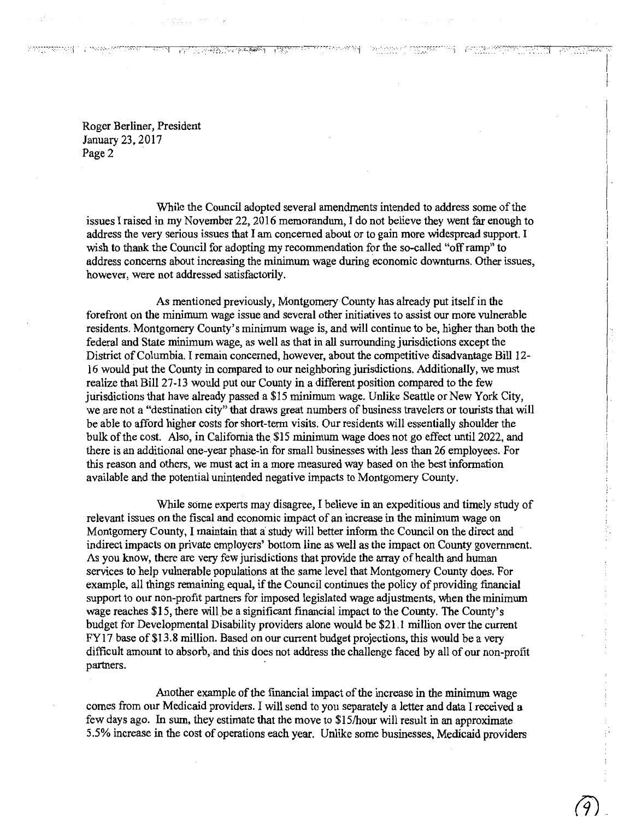Roger Berliner, President January 23, 2017 Page 2

**PERSONAL PROPERTY** 

While the Council adopted several amendments intended to address some of the issues I raised in my November 22, 2016 memorandum, I do not believe they went far enough to address the very serious issues that I am concerned about or to gain more widespread support. I wish to thank the Council for adopting my recommendation for the so-called "off ramp" to address concerns about increasing the minimum wage during economic downturns. Other issues, however, were not addressed satisfactorily.

*(--~--\_:\_·.\_-:5:·\_* ---- ... ·-·. -· ..

·.·J .....

*(i)* \_

As mentioned previously, Montgomery County has already put itself in the forefront on the minimum wage issue and several other initiatives to assist our more vulnerable residents. Montgomery County's minimum wage is, and will continue to be, higher than both the federal and State minimum wage, as well as that in all surrounding jurisdictions except the District of Columbia. I remain concerned, however, about the competitive disadvantage Bill 12- 16 would put the County in compared to our neighboring jurisdictions. Additionally, we must realize that Bill 27-13 would put our County in a different position compared to the few jurisdictions that have already passed a \$15 minimum wage. Unlike Seattle or New York City, we are not a "destination city" that draws great numbers of business travelers or tourists that will be able to afford higher costs for short-term visits. Our residents will essentially shoulder the bulk of the cost. Also, in California the \$15 minimum wage does not go effect until 2022, and there is an additional one-year phase-in for small businesses with less than 26 employees. For this reason and others, we must act in a more measured way based on the best information available and the potential unintended negative impacts to Montgomery County.

While some experts may disagree, I believe in an expeditious and timely study of relevant issues on the fiscal and economic impact of an increase in the minimum wage on Montgomery County, I maintain that a study will better inform the Council on the direct and indirect impacts on private employers' bottom line as well as the impact on County government. As you know, there are very few jurisdictions that provide the array of health and human services to help vulnerable populations at the same level that Montgomery County does. For example, all things remaining equal, if the Council continues the policy of providing financial support to our non-profit partners for imposed legislated wage adjustments, when the minimum wage reaches \$15, there will be a significant financial impact to the County. The County's budget for Developmental Disability providers alone would be \$21.1 million over the current FYI 7 base of \$13.8 million. Based on our current budget projections, this would be a very difficult amount to absorb, and this does not address the challenge faced by all of our non-profit partners.

Another example of the financial impact of the increase in the minimum wage comes from our Medicaid providers. I will send to you separately a letter and data I received a few days ago. In sum, they estimate that the move to \$15/hour will result in an approximate 5.5% increase in the cost of operations each year. Unlike some businesses, Medicaid providers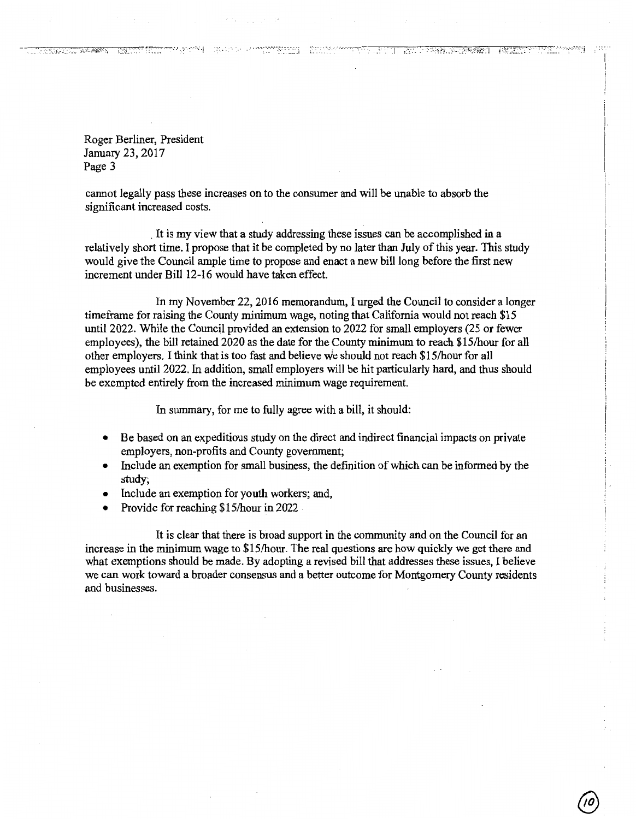Roger Berliner, President January 23, 2017 Page 3

**TANGAN TAGASAN** 

cannot legally pass these increases on to the consumer and will be unable to absorb the significant increased costs.

I • • • .•~. • • • • •" • • • <sup>~</sup>. . ·:· - . --- .I t·\_- .• -.

 $\sim$ 

. It is my view that a study addressing these issues can be accomplished in a relatively short time. I propose that it be completed by no later than July of this year. This study would give the Council ample time to propose and enact a new bill long before the first new increment under Bill 12-16 would have taken effect.

In my November 22, 2016 memorandum, I urged the Council to consider a longer timeframe for raising the County minimum wage, noting that California would not reach \$15 until 2022. While the Council provided an extension to 2022 for small employers (25 or fewer employees), the bill retained 2020 as the date for the County minimum to reach \$15/hour for all other employers. I think that is too fast and believe we should not reach \$15/hour for all employees until 2022. In addition, small employers will be hit particularly hard, and thus should be exempted entirely from the increased minimum wage requirement.

In summary, for me to fully agree with a bill, it should:

- Be based on an expeditious study on the direct and indirect financial impacts on private employers, non-profits and County government;
- Include an exemption for small business, the definition of which can be informed by the study;
- Include an exemption for youth workers; and,
- Provide for reaching \$15/hour in 2022

It is clear that there is broad support in the community and on the Council for an increase in the minimum wage to \$15/hour. The real questions are how quickly we get there and what exemptions should be made. By adopting a revised bill that addresses these issues, I believe we can work toward a broader consensus and a better outcome for Montgomery County residents and businesses.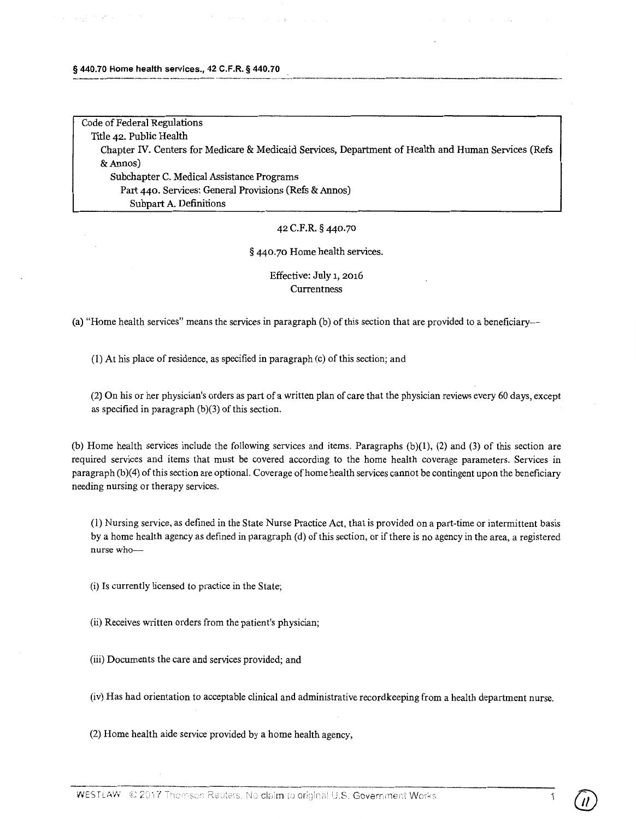Code of Federal Regulations Title 42. Public Health Chapter IV. Centers for Medicare & Medicaid Services, Department of Health and Human Services (Refs &Annas) Subchapter C. Medical Assistance Programs Part 440. Services: General Provisions (Refs & Annas) Subpart A. Definitions

### 42 C.F.R. § 440.70

#### § 440.70 Home health services.

# Effective: July 1, 2016 Currentness

(a) "Home health services" means the services in paragraph (b) of this section that are provided to a beneficiary-

(1) At his place of residence, as specified in paragraph (c) of this section; and

(2) On his or her physician's orders as part of a written plan of care that the physician reviews every 60 days, except as specified in paragraph  $(b)(3)$  of this section.

(b) Home health services include the following services and items. Paragraphs (b)(l), (2) and (3) of this section are required services and items that must be covered according to the home health coverage parameters. Services in paragraph (b)(4) of this section are optional. Coverage of home health services cannot be contingent upon the beneficiary needing nursing or therapy services.

(1) Nursing service, as defined in the State Nurse Practice Act, that is provided on a part-time or intermittent basis by a home health agency as defined in paragraph (d) of this section, or if there is no agency in the area, a registered nurse who-

(i) Is currently licensed to practice in the State;

(ii) Receives written orders from the patient's physician;

(iii) Documents the care and services provided; and

(iv) Has had orientation to acceptable clinical and administrative recordkeeping from a health department nurse.

(2) Home health aide service provided by a home health agency,

 $\bigcirc$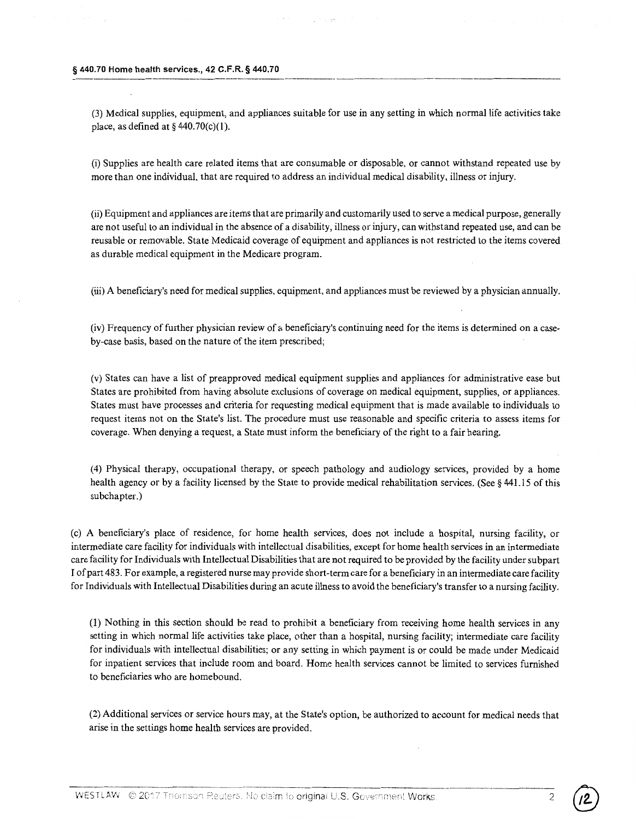(3) Medical supplies, equipment, and appliances suitable for use in any setting in which normal life activities take place, as defined at  $\S$  440.70(c)(1).

**(i)** Supplies are health care related items that are consumable or disposable, or cannot withstand repeated use by more than one individual, that are required to address an individual medical disability, illness or injury.

(ii) Equipment and appliances are items that are primarily and customarily used to serve a medical purpose, generally are not useful to an individual in the absence of a disability, illness or injury, can withstand repeated use, and can be reusable or removable. State Medicaid coverage of equipment and appliances is not restricted to the items covered as durable medical equipment in the Medicare program.

(iii) A beneficiary's need for medical supplies, equipment, and appliances must be reviewed by a physician annually.

(iv) Frequency of further physician review of a beneficiary's continuing need for the items is determined on a caseby-case basis, based on the nature of the item prescribed;

(v) States can have a list of preapproved medical equipment supplies and appliances for administrative ease but States are prohibited from having absolute exclusions of coverage on medical equipment, supplies, or appliances. States must have processes and criteria for requesting medical equipment that is made available to individuals to request items not on the State's list. The procedure must use reasonable and specific criteria to assess items for coverage. When denying a request, a State must inform the beneficiary of the right to a fair hearing.

(4) Physical therapy, occupational therapy, or speech pathology and audiology services, provided by a home health agency or by a facility licensed by the State to provide medical rehabilitation services. (See § 441.15 of this subchapter.)

(c) A beneficiary's place of residence, for home health services, does not include a hospital, nursing facility, or intermediate care facility for individuals with intellectual disabilities, except for home health services in an intermediate care facility for Individuals with Intellectual Disabilities that are not required to be provided by the facility under subpart I of part 483. For example, a registered nurse may provide short-term care for a beneficiary in an intermediate care facility for Individuals with Intellectual Disabilities during an acute illness to avoid the beneficiary's transfer to a nursing facility.

(I) Nothing in this section should be read to prohibit a beneficiary from receiving home health services in any setting in which normal life activities take place, other than a hospital, nursing facility; intermediate care facility for individuals with intellectual disabilities; or any setting in which payment is or could be made under Medicaid for inpatient services that include room and board. Home health services cannot be limited to services furnished to beneficiaries who are homebound.

(2) Additional services or service hours may, at the State's option, be authorized to account for medical needs that arise in the settings home health services are provided.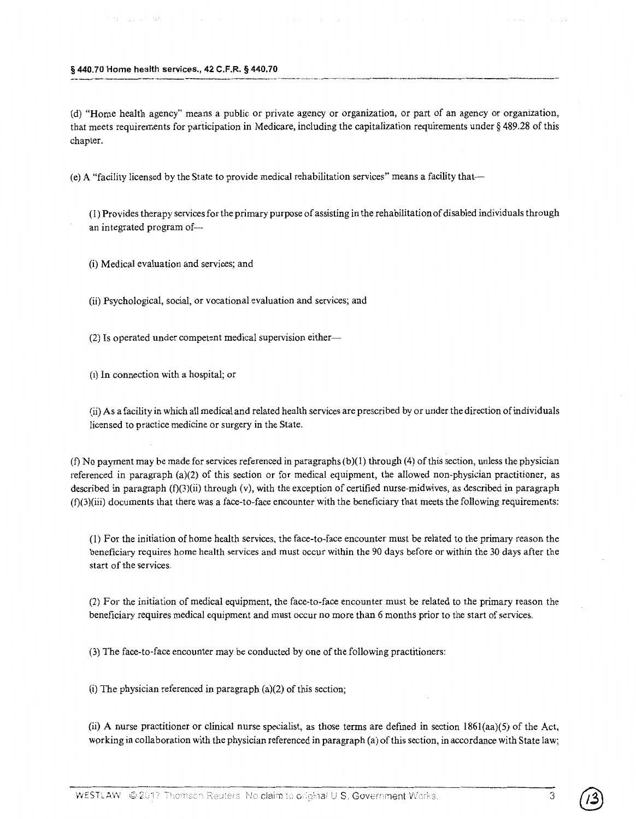TECHNICAL TERRA

(d) "Home health agency" means a public or private agency or organization, or part of an agency or organization, that meets requirements for participation in Medicare, including the capitalization requirements under§ 489.28 of this chapter.

(e) A "facility licensed by the State to provide medical rehabilitation services" means a facility that-

(I) Provides therapy services for the primary purpose of assisting in the rehabilitation of disabled individuals through an integrated program of-

(i) Medical evaluation and services; and

(ii) Psychological, social, or vocational evaluation and services; and

(2) Is operated under competent medical supervision either---

(i) In connection with a hospital; or

(ii) As a facility in which all medical and related health services are prescribed by or under the direction of individuals licensed to practice medicine or surgery in the State.

(f) No payment may be made for services referenced in paragraphs  $(b)(1)$  through (4) of this section, unless the physician referenced in paragraph (a)(2) of this section or for medical equipment, the allowed non-physician practitioner, as described in paragraph (f)(3)(ii) through (v), with the exception of certified nurse-midwives, as described in paragraph  $(f)(3)(iii)$  documents that there was a face-to-face encounter with the beneficiary that meets the following requirements:

(I) For the initiation of home health services, the face-to-face encounter must be related to the primary reason the beneficiary requires home health services and must occur within the 90 days before or within the 30 days after the start of the services.

(2) For the initiation of medical equipment, the face-to-face encounter must be related to the primary reason the beneficiary requires medical equipment and must occur no more than 6 months prior to the start of services.

(3) The face-to-face encounter may be conducted by one of the following practitioners:

(i) The physician referenced in paragraph (a)(2) of this section;

(ii) A nurse practitioner or clinical nurse specialist, as those terms are defined in section 1861(aa)(5) of the Act, working in collaboration with the physician referenced in paragraph (a) of this section, in accordance with State law;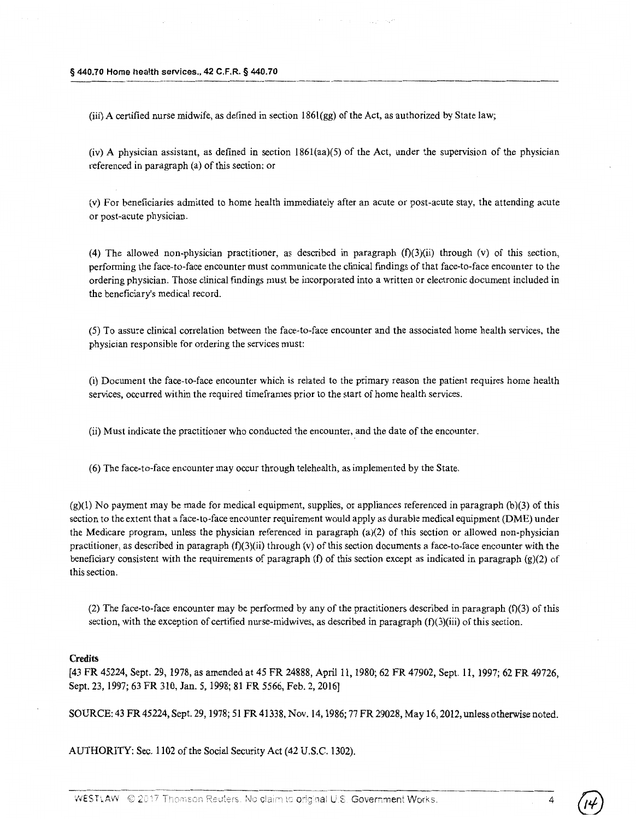(iii) A certified nurse midwife, as defined in section 186l(gg) of the Act, as authorized by State law;

(iv) **A** physician assistant, as defined in section 186l(aa)(5) of the Act, under the supervision of the physician referenced in paragraph (a) of this section; or

(v) For beneficiaries admitted to home health immediately after an acute or post-acute stay, the attending acute or post-acute physician.

(4) The allowed non-physician practitioner, as described in paragraph  $(f)(3)(ii)$  through (v) of this section, performing the face-to-face encounter must communicate the clinical findings of that face-to-face encounter to the ordering physician. Those clinical findings must be incorporated into a written or electronic document included in the beneficiary's medical record.

(5) To assure clinical correlation between the face-to-face encounter and the associated home health services, the physician responsible for ordering the services must:

(i) Document the face-to-face encounter which is related to the primary reason the patient requires home health services, occurred within the required timeframes prior to the start of home health services.

(ii) Must indicate the practitioner who conducted the encounter, and the date of the encounter.

(6) The face-to-face encounter may occur through telehealth, as implemented by the State.

 $(g)(1)$  No payment may be made for medical equipment, supplies, or appliances referenced in paragraph (b)(3) of this section to the extent that a face-to-face encounter requirement would apply as durable medical equipment (DME) under the Medicare program, unless the physician referenced in paragraph (a)(2) of this section or allowed non-physician practitioner, as described in paragraph  $(f)(3)(ii)$  through (v) of this section documents a face-to-face encounter with the beneficiary consistent with the requirements of paragraph (f) of this section except as indicated in paragraph  $(g)(2)$  of this section.

(2) The face-to-face encounter may be performed by any of the practitioners described in paragraph (f)(3) of this section, with the exception of certified nurse-midwives, as described in paragraph (f)(3)(iii) of this section.

#### **Credits**

[43 FR 45224, Sept. 29, 1978, as amended at 45 FR 24888, April 11, 1980; 62 FR 47902, Sept. 11, 1997; 62 FR 49726, Sept. 23, 1997; 63 FR 310, Jan. 5, 1998; 81 FR 5566, Feb. 2, 2016]

SOURCE: 43 FR 45224, Sept. 29, 1978; 51 FR 41338, Nov. 14, 1986; 77 FR 29028, May 16, 2012, unless otherwise noted.

AUTHORITY: Sec. 1102 of the Social Security Act (42 U.S.C. 1302).

 $\mathcal{U}^{\mathcal{U}}$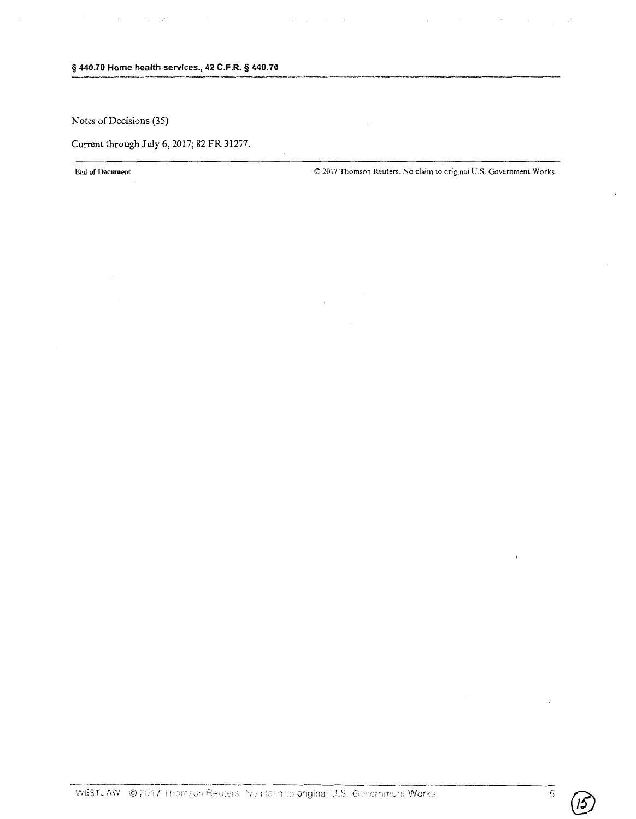Notes of Decisions (35)

 $\sim$  1  $-$ 

 $\mathcal{L}_{\rm{max}} = 1.52$ 

Current through July 6, 2017; 82 FR 31277.

End of Document COMERCIAL CONSERVATION CONTROLLERS. No claim to original U.S. Government Works.

 $\mathbf 5$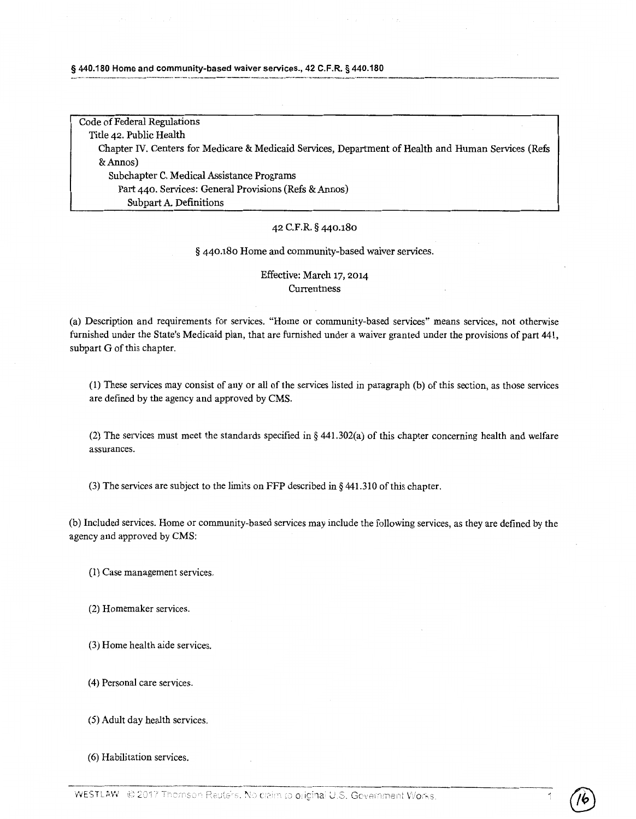Code of Federal Regulations Title 42. Public Health Chapter IV. Centers for Medicare & Medicaid Services, Department of Health and Human Services (Refs &Annos) Subchapter C. Medical Assistance Programs Part 440. Services: General Provisions (Refs & Annos) Subpart A. Definitions

#### 42 C.F.R. § 440.180

#### § 440.180 Home and community-based waiver services.

## Effective: March 17, 2014 **Currentness**

(a) Description and requirements for services. "Home or community-based services" means services, not otherwise furnished under the State's Medicaid plan, that are furnished under a waiver granted under the provisions of part 441, subpart G of this chapter.

(1) These services may consist of any or all of the services listed in paragraph (b) of this section, as those services are defined by the agency and approved by **CMS.** 

(2) The services must meet the standards specified in § 441.302(a) of this chapter concerning health and welfare assurances.

(3) The services are subject to the limits on FFP described in§ 441.310 of this chapter.

(b) Included services. Home or community-based services may include the following services, as they are defined by the agency and approved by CMS:

 $\circled{b}$ 

- (I) Case management services.
- (2) Homemaker services.
- (3) Home health aide services.
- (4) Personal care services.
- (5) Adult day health services.

(6) Habilitation services.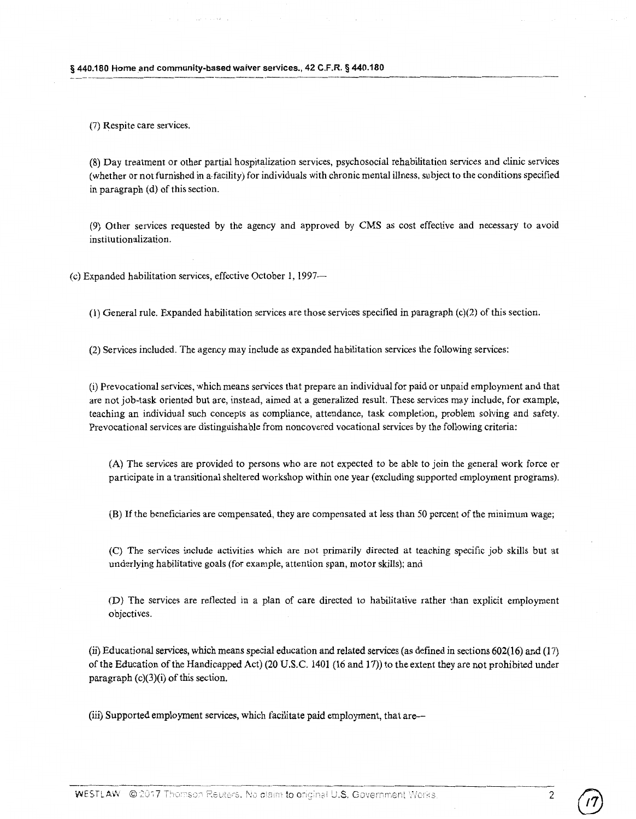(7) Respite care services.

(8) Day treatment or other partial hospitalization services, psychosocial rehabilitation services and clinic services (whether or not furnished in a-facility) for individuals with chronic mental illness, subject to the conditions specified in paragraph (d) of this section.

(9) Other services requested by the agency and approved by CMS as cost effective and necessary to avoid institutionalization.

(c) Expanded habilitation services, effective October 1, 1997-

(1) General rule. Expanded habilitation services are those services specified in paragraph (c)(2) of this section.

(2) Services included. The agency may include as expanded habilitation services the following services:

(i) Prevocational services, which means services that prepare an individual for paid or unpaid employment and that are not job-task oriented but are, instead, aimed at a generalized result. These services may include, for example, teaching an individual such concepts as compliance, attendance, task completion, problem solving and safety. Prevocational services are distinguishable from noncovered vocational services by the following criteria:

(A) The services are provided to persons who are not expected to be able to join the general work force or participate in a transitional sheltered workshop within one year (excluding supported employment programs).

(B) If the beneficiaries are compensated, they are compensated at less than 50 percent of the minimum wage;

(C) The services include activities which are not primarily directed at teaching specific job skills but at underlying habilitative goals (for example, attention span, motor skills); and

(D) The services are reflected in a plan of care directed to habilitative rather than explicit employment objectives.

(ii) Educational services, which means special education and related services (as defined in sections 602(16) and (17) of the Education of the Handicapped Act) (20 U.S.C. 1401 (16 and 17)) to the extent they are not prohibited under paragraph (c)(3)(i) of this section.

(iii) Supported employment services, which facilitate paid employment, that are-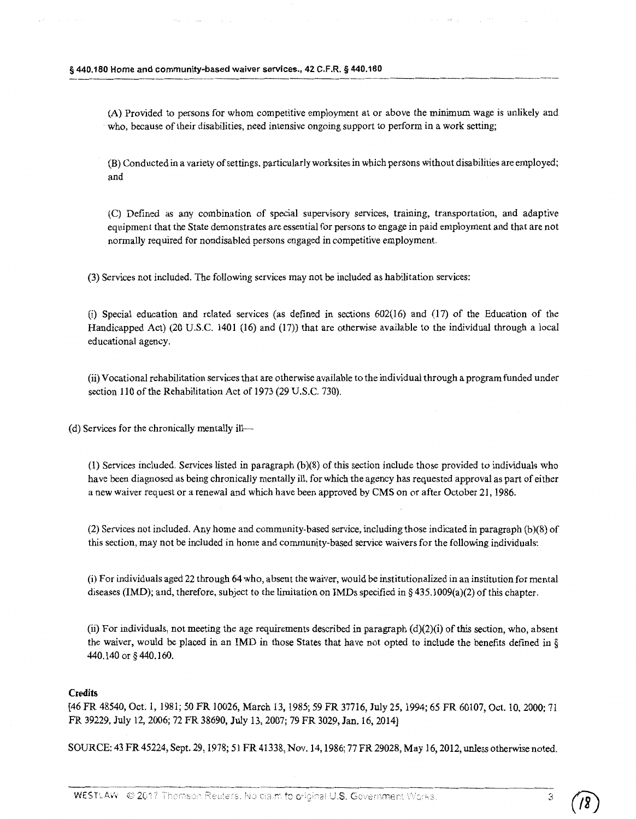(A) Provided to persons for whom competitive employment at or above the minimum wage is unlikely and who, because of their disabilities, need intensive ongoing support to perform in a work setting;

(B) Conducted in a variety of settings, particularly worksites in which persons without disabilities are employed; and

(C) Defined as any combination of special supervisory services, trammg, transportation, and adaptive equipment that the State demonstrates are essential for persons to engage in paid employment and that are not normally required for nondisabled persons engaged in competitive employment.

(3) Services not included. The following services may not be included as habilitation services:

(i) Special education and related services (as defined in sections 602(16) and (17) of the Education of the Handicapped Act) (20 U.S.C. 1401 (16) and (17)) that are otherwise available to the individual through a local educational agency.

(ii) Vocational rehabilitation services that are otherwise available to the individual through a program funded under section 110 of the Rehabilitation Act of 1973 (29 U.S.C. 730).

(d) Services for the chronically mentally ill-

(1) Services included. Services listed in paragraph (b)(8) of this section include those provided to individuals who have been diagnosed as being chronically mentally ill, for which the agency has requested approval as part of either a new waiver request or a renewal and which have been approved by CMS on or after October 21, 1986.

 $(2)$  Services not included. Any home and community-based service, including those indicated in paragraph  $(b)(8)$  of this section, may not be included in home and community-based service waivers for the following individuals:

(i) For individuals aged 22 through 64 who, absent the waiver, would be institutionalized in an institution for mental diseases (IMD); and, therefore, subject to the limitation on IMDs specified in§ 435.1009(a)(2) of this chapter.

(ii) For individuals, not meeting the age requirements described in paragraph  $(d)(2)(i)$  of this section, who, absent the waiver, would be placed in an IMD in those States that have not opted to include the benefits defined in § 440.140 or§ 440.160.

#### **Credits**

[46 FR 48540, Oct. 1, 1981; 50 FR 10026, March 13, 1985; 59 FR 37716, July 25, 1994; 65 FR 60107, Oct. 10, 2000; 71 FR 39229, July 12, 2006; 72 FR 38690, July 13, 2007; 79 FR 3029, Jan. 16, 2014]

SOURCE: 43 FR45224, Sept. 29, 1978; 51 FR41338, Nov.14, 1986; 77 FR29028,May 16, 2012, unless otherwise noted.

3